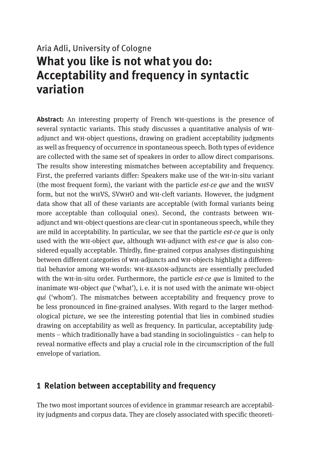# Aria Adli, University of Cologne **What you like is not what you do: Acceptability and frequency in syntactic variation**

**Abstract:** An interesting property of French wh-questions is the presence of several syntactic variants. This study discusses a quantitative analysis of whadjunct and wh-object questions, drawing on gradient acceptability judgments as well as frequency of occurrence in spontaneous speech. Both types of evidence are collected with the same set of speakers in order to allow direct comparisons. The results show interesting mismatches between acceptability and frequency. First, the preferred variants differ: Speakers make use of the wh-in-situ variant (the most frequent form), the variant with the particle *est-ce que* and the whSV form, but not the whVS, SVwhO and wh-cleft variants. However, the judgment data show that all of these variants are acceptable (with formal variants being more acceptable than colloquial ones). Second, the contrasts between whadjunct and wh-object questions are clear-cut in spontaneous speech, while they are mild in acceptability. In particular, we see that the particle *est-ce que* is only used with the wh-object *que*, although wh-adjunct with *est-ce que* is also considered equally acceptable. Thirdly, fine-grained corpus analyses distinguishing between different categories of wh-adjuncts and wh-objects highlight a differential behavior among wh-words: wh-reason-adjuncts are essentially precluded with the wh-in-situ order. Furthermore, the particle *est-ce que* is limited to the inanimate wh-object *que* ('what'), i. e. it is not used with the animate wh-object *qui* ('whom'). The mismatches between acceptability and frequency prove to be less pronounced in fine-grained analyses. With regard to the larger methodological picture, we see the interesting potential that lies in combined studies drawing on acceptability as well as frequency. In particular, acceptability judgments – which traditionally have a bad standing in sociolinguistics – can help to reveal normative effects and play a crucial role in the circumscription of the full envelope of variation.

## **1 Relation between acceptability and frequency**

The two most important sources of evidence in grammar research are acceptability judgments and corpus data. They are closely associated with specific theoreti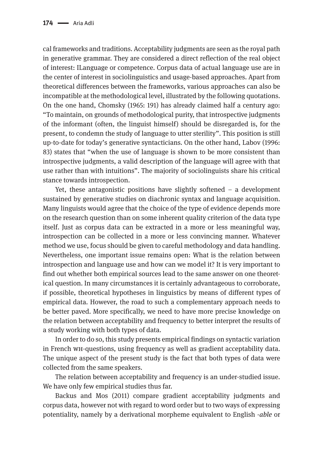cal frameworks and traditions. Acceptability judgments are seen as the royal path in generative grammar. They are considered a direct reflection of the real object of interest: ILanguage or competence. Corpus data of actual language use are in the center of interest in sociolinguistics and usage-based approaches. Apart from theoretical differences between the frameworks, various approaches can also be incompatible at the methodological level, illustrated by the following quotations. On the one hand, Chomsky (1965: 191) has already claimed half a century ago: "To maintain, on grounds of methodological purity, that introspective judgments of the informant (often, the linguist himself) should be disregarded is, for the present, to condemn the study of language to utter sterility". This position is still up-to-date for today's generative syntacticians. On the other hand, Labov (1996: 83) states that "when the use of language is shown to be more consistent than introspective judgments, a valid description of the language will agree with that use rather than with intuitions". The majority of sociolinguists share his critical stance towards introspection.

Yet, these antagonistic positions have slightly softened – a development sustained by generative studies on diachronic syntax and language acquisition. Many linguists would agree that the choice of the type of evidence depends more on the research question than on some inherent quality criterion of the data type itself. Just as corpus data can be extracted in a more or less meaningful way, introspection can be collected in a more or less convincing manner. Whatever method we use, focus should be given to careful methodology and data handling. Nevertheless, one important issue remains open: What is the relation between introspection and language use and how can we model it? It is very important to find out whether both empirical sources lead to the same answer on one theoretical question. In many circumstances it is certainly advantageous to corroborate, if possible, theoretical hypotheses in linguistics by means of different types of empirical data. However, the road to such a complementary approach needs to be better paved. More specifically, we need to have more precise knowledge on the relation between acceptability and frequency to better interpret the results of a study working with both types of data.

In order to do so, this study presents empirical findings on syntactic variation in French wh-questions, using frequency as well as gradient acceptability data. The unique aspect of the present study is the fact that both types of data were collected from the same speakers.

The relation between acceptability and frequency is an under-studied issue. We have only few empirical studies thus far.

Backus and Mos (2011) compare gradient acceptability judgments and corpus data, however not with regard to word order but to two ways of expressing potentiality, namely by a derivational morpheme equivalent to English -*able* or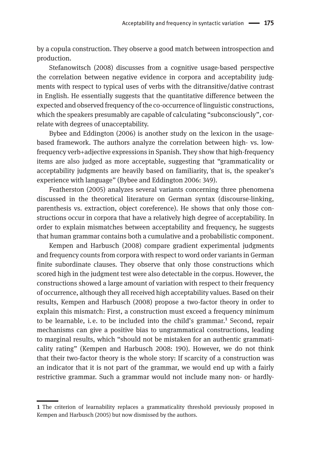by a copula construction. They observe a good match between introspection and production.

Stefanowitsch (2008) discusses from a cognitive usage-based perspective the correlation between negative evidence in corpora and acceptability judgments with respect to typical uses of verbs with the ditransitive/dative contrast in English. He essentially suggests that the quantitative difference between the expected and observed frequency of the co-occurrence of linguistic constructions, which the speakers presumably are capable of calculating "subconsciously", correlate with degrees of unacceptability.

Bybee and Eddington (2006) is another study on the lexicon in the usagebased framework. The authors analyze the correlation between high- vs. lowfrequency verb+adjective expressions in Spanish. They show that high-frequency items are also judged as more acceptable, suggesting that "grammaticality or acceptability judgments are heavily based on familiarity, that is, the speaker's experience with language" (Bybee and Eddington 2006: 349).

Featherston (2005) analyzes several variants concerning three phenomena discussed in the theoretical literature on German syntax (discourse-linking, parenthesis vs. extraction, object coreference). He shows that only those constructions occur in corpora that have a relatively high degree of acceptability. In order to explain mismatches between acceptability and frequency, he suggests that human grammar contains both a cumulative and a probabilistic component.

Kempen and Harbusch (2008) compare gradient experimental judgments and frequency counts from corpora with respect to word order variants in German finite subordinate clauses. They observe that only those constructions which scored high in the judgment test were also detectable in the corpus. However, the constructions showed a large amount of variation with respect to their frequency of occurrence, although they all received high acceptability values. Based on their results, Kempen and Harbusch (2008) propose a two-factor theory in order to explain this mismatch: First, a construction must exceed a frequency minimum to be learnable, i.e. to be included into the child's grammar.<sup>1</sup> Second, repair mechanisms can give a positive bias to ungrammatical constructions, leading to marginal results, which "should not be mistaken for an authentic grammaticality rating" (Kempen and Harbusch 2008: 190). However, we do not think that their two-factor theory is the whole story: If scarcity of a construction was an indicator that it is not part of the grammar, we would end up with a fairly restrictive grammar. Such a grammar would not include many non- or hardly-

**<sup>1</sup>** The criterion of learnability replaces a grammaticality threshold previously proposed in Kempen and Harbusch (2005) but now dismissed by the authors.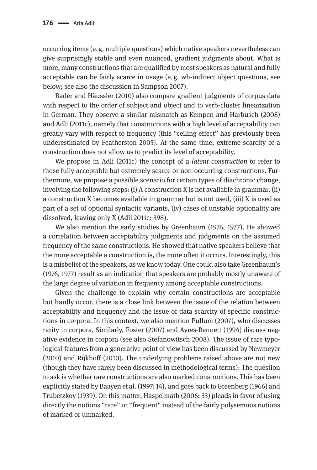occurring items (e. g. multiple questions) which native speakers nevertheless can give surprisingly stable and even nuanced, gradient judgments about. What is more, many constructions that are qualified by most speakers as natural and fully acceptable can be fairly scarce in usage (e.g. wh-indirect object questions, see below; see also the discussion in Sampson 2007).

Bader and Häussler (2010) also compare gradient judgments of corpus data with respect to the order of subject and object and to verb-cluster linearization in German. They observe a similar mismatch as Kempen and Harbusch (2008) and Adli (2011c), namely that constructions with a high level of acceptability can greatly vary with respect to frequency (this "ceiling effect" has previously been underestimated by Featherston 2005). At the same time, extreme scarcity of a construction does not allow us to predict its level of acceptability.

We propose in Adli (2011c) the concept of a *latent construction* to refer to those fully acceptable but extremely scarce or non-occurring constructions. Furthermore, we propose a possible scenario for certain types of diachronic change, involving the following steps: (i) A construction X is not available in grammar, (ii) a construction X becomes available in grammar but is not used, (iii) X is used as part of a set of optional syntactic variants, (iv) cases of unstable optionality are dissolved, leaving only X (Adli 2011c: 398).

We also mention the early studies by Greenbaum (1976, 1977). He showed a correlation between acceptability judgments and judgments on the assumed frequency of the same constructions. He showed that native speakers believe that the more acceptable a construction is, the more often it occurs. Interestingly, this is a misbelief of the speakers, as we know today. One could also take Greenbaum's (1976, 1977) result as an indication that speakers are probably mostly unaware of the large degree of variation in frequency among acceptable constructions.

Given the challenge to explain why certain constructions are acceptable but hardly occur, there is a close link between the issue of the relation between acceptability and frequency and the issue of data scarcity of specific constructions in corpora. In this context, we also mention Pullum (2007), who discusses rarity in corpora. Similarly, Foster (2007) and Ayres-Bennett (1994) discuss negative evidence in corpora (see also Stefanowitsch 2008). The issue of rare typological features from a generative point of view has been discussed by Newmeyer (2010) and Rijkhoff (2010). The underlying problems raised above are not new (though they have rarely been discussed in methodological terms): The question to ask is whether rare constructions are also marked constructions. This has been explicitly stated by Baayen et al. (1997: 14), and goes back to Greenberg (1966) and Trubetzkoy (1939). On this matter, Haspelmath (2006: 33) pleads in favor of using directly the notions "rare" or "frequent" instead of the fairly polysemous notions of marked or unmarked.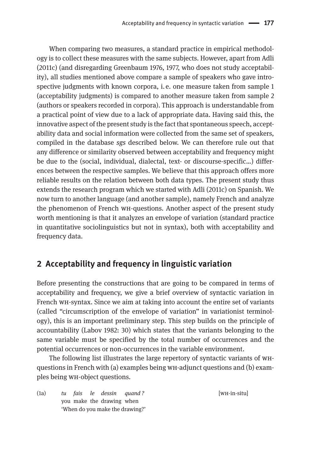When comparing two measures, a standard practice in empirical methodology is to collect these measures with the same subjects. However, apart from Adli (2011c) (and disregarding Greenbaum 1976, 1977, who does not study acceptability), all studies mentioned above compare a sample of speakers who gave introspective judgments with known corpora, i.e. one measure taken from sample 1 (acceptability judgments) is compared to another measure taken from sample 2 (authors or speakers recorded in corpora). This approach is understandable from a practical point of view due to a lack of appropriate data. Having said this, the innovative aspect of the present study is the fact that spontaneous speech, acceptability data and social information were collected from the same set of speakers, compiled in the database *sgs* described below. We can therefore rule out that any difference or similarity observed between acceptability and frequency might be due to the (social, individual, dialectal, text- or discourse-specific…) differences between the respective samples. We believe that this approach offers more reliable results on the relation between both data types. The present study thus extends the research program which we started with Adli (2011c) on Spanish. We now turn to another language (and another sample), namely French and analyze the phenomenon of French wh-questions. Another aspect of the present study worth mentioning is that it analyzes an envelope of variation (standard practice in quantitative sociolinguistics but not in syntax), both with acceptability and frequency data.

# **2 Acceptability and frequency in linguistic variation**

Before presenting the constructions that are going to be compared in terms of acceptability and frequency, we give a brief overview of syntactic variation in French wh-syntax. Since we aim at taking into account the entire set of variants (called "circumscription of the envelope of variation" in variationist terminology), this is an important preliminary step. This step builds on the principle of accountability (Labov 1982: 30) which states that the variants belonging to the same variable must be specified by the total number of occurrences and the potential occurrences or non-occurrences in the variable environment.

The following list illustrates the large repertory of syntactic variants of whquestions in French with (a) examples being wh-adjunct questions and (b) examples being wh-object questions.

(1a) *tu fais le dessin quand ?* [wh-in-situ] you make the drawing when 'When do you make the drawing?'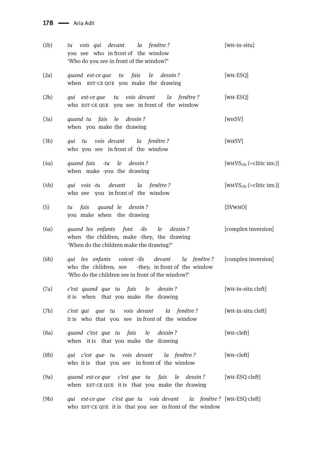178 **-** Aria Adli

| (1b) | tu vois qui devant la fenêtre?<br>you see who infront of the window<br>'Who do you see in front of the window?'                                          | [WH-in-situ]                          |
|------|----------------------------------------------------------------------------------------------------------------------------------------------------------|---------------------------------------|
| (2a) | quand est-ce que<br>fais<br>le<br>dessin?<br>tu<br>when EST-CE QUE you make the drawing                                                                  | $[WH-ESQ]$                            |
| (2b) | qui est-ce que tu vois devant<br>la fenêtre?<br>who EST-CE QUE you see in front of the window                                                            | [WH-ESQ]                              |
| (3a) | quand tu fais<br>le<br>dessin?<br>when you make the drawing                                                                                              | [WHSV]                                |
| (3b) | vois devant la fenêtre?<br>qui tu<br>who you see in front of the window                                                                                  | [WHSV]                                |
| (4a) | quand fais -tu<br>le<br>dessin?<br>when make -you the drawing                                                                                            | $[WHVS_{\text{clit}}$ (=clitic inv.)] |
| (4b) | qui vois tu devant<br>la fenêtre?<br>who see -you in front of the window                                                                                 | $[WHVSclit (=clitic inv.)]$           |
| (5)  | fais<br>quand le dessin?<br>tu<br>you make when the drawing                                                                                              | [SVWHO]                               |
| (6a) | quand les enfants font -ils le<br>dessin?<br>when the children make -they the drawing<br>'When do the children make the drawing?'                        | [complex inversion]                   |
| (6b) | qui les enfants voient-ils devant<br>la fenêtre?<br>who the children see they infront of the window<br>'Who do the children see in front of the window?' | [complex inversion]                   |
| (7a) | c'est quand que tu fais<br>dessin?<br>le<br>it is when that you make the drawing                                                                         | [WH-in-situ cleft]                    |
| (7b) | c'est qui que tu vois devant<br>la fenêtre?<br>it is who that you see in front of the window                                                             | [WH-in-situ cleft]                    |
| (8a) | quand c'est que tu fais<br>le<br>dessin?<br>when it is that you make the drawing                                                                         | [WH-cleft]                            |
| (8b) | qui c'est que tu vois devant la fenêtre?<br>who it is that you see in front of the window                                                                | [WH-cleft]                            |
| (9a) | quand est-ce que c'est que tu fais le dessin?<br>when EST-CE QUE it is that you make the drawing                                                         | [WH-ESQ cleft]                        |
| (9b) | qui est-ce que c'est que tu vois devant la fenêtre? [WH-ESQ cleft]<br>who EST-CE QUE it is that you see in front of the window                           |                                       |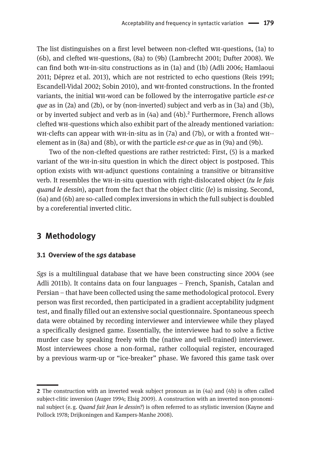The list distinguishes on a first level between non-clefted wh-questions, (1a) to (6b), and clefted wh-questions, (8a) to (9b) (Lambrecht 2001; Dufter 2008). We can find both wh-in-situ constructions as in (1a) and (1b) (Adli 2006; Hamlaoui 2011; Déprez et al. 2013), which are not restricted to echo questions (Reis 1991; Escandell-Vidal 2002; Sobin 2010), and wh-fronted constructions. In the fronted variants, the initial wh-word can be followed by the interrogative particle *est-ce que* as in (2a) and (2b), or by (non-inverted) subject and verb as in (3a) and (3b), or by inverted subject and verb as in (4a) and (4b).<sup>2</sup> Furthermore, French allows clefted wh-questions which also exhibit part of the already mentioned variation: wh-clefts can appear with wh-in-situ as in (7a) and (7b), or with a fronted wh- element as in (8a) and (8b), or with the particle *est-ce que* as in (9a) and (9b).

Two of the non-clefted questions are rather restricted: First, (5) is a marked variant of the wh-in-situ question in which the direct object is postposed. This option exists with wh-adjunct questions containing a transitive or bitransitive verb. It resembles the wh-in-situ question with right-dislocated object (*tu le fais quand le dessin*), apart from the fact that the object clitic (*le*) is missing. Second, (6a) and (6b) are so-called complex inversions in which the full subject is doubled by a coreferential inverted clitic.

# **3 Methodology**

#### **3.1 Overview of the** *sgs* **database**

*Sgs* is a multilingual database that we have been constructing since 2004 (see Adli 2011b). It contains data on four languages – French, Spanish, Catalan and Persian – that have been collected using the same methodological protocol. Every person was first recorded, then participated in a gradient acceptability judgment test, and finally filled out an extensive social questionnaire. Spontaneous speech data were obtained by recording interviewer and interviewee while they played a specifically designed game. Essentially, the interviewee had to solve a fictive murder case by speaking freely with the (native and well-trained) interviewer. Most interviewees chose a non-formal, rather colloquial register, encouraged by a previous warm-up or "ice-breaker" phase. We favored this game task over

**<sup>2</sup>** The construction with an inverted weak subject pronoun as in (4a) and (4b) is often called subject-clitic inversion (Auger 1994; Elsig 2009). A construction with an inverted non-pronominal subject (e. g. *Quand fait Jean le dessin?*) is often referred to as stylistic inversion (Kayne and Pollock 1978; Drijkoningen and Kampers-Manhe 2008).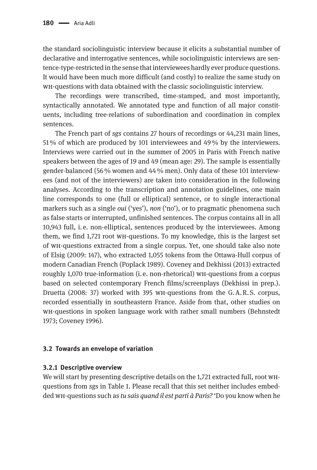the standard sociolinguistic interview because it elicits a substantial number of declarative and interrogative sentences, while sociolinguistic interviews are sentence-type-restricted in the sense that interviewees hardly ever produce questions. It would have been much more difficult (and costly) to realize the same study on wh-questions with data obtained with the classic sociolinguistic interview.

The recordings were transcribed, time-stamped, and most importantly, syntactically annotated. We annotated type and function of all major constituents, including tree-relations of subordination and coordination in complex sentences.

The French part of *sgs* contains 27 hours of recordings or 44,231 main lines, 51 % of which are produced by 101 interviewees and 49 % by the interviewers. Interviews were carried out in the summer of 2005 in Paris with French native speakers between the ages of 19 and 49 (mean age: 29). The sample is essentially gender-balanced (56 % women and 44 % men). Only data of these 101 interviewees (and not of the interviewers) are taken into consideration in the following analyses. According to the transcription and annotation guidelines, one main line corresponds to one (full or elliptical) sentence, or to single interactional markers such as a single *oui* ('yes'), *non* ('no'), or to pragmatic phenomena such as false starts or interrupted, unfinished sentences. The corpus contains all in all 10,943 full, i. e. non-elliptical, sentences produced by the interviewees. Among them, we find 1,721 root wh-questions. To my knowledge, this is the largest set of wh-questions extracted from a single corpus. Yet, one should take also note of Elsig (2009: 147), who extracted 1,055 tokens from the Ottawa-Hull corpus of modern Canadian French (Poplack 1989). Coveney and Dekhissi (2013) extracted roughly 1,070 true-information (i.e. non-rhetorical) wH-questions from a corpus based on selected contemporary French films/screenplays (Dekhissi in prep.). Druetta (2008: 37) worked with 395 wH-questions from the G.A.R.S. corpus, recorded essentially in southeastern France. Aside from that, other studies on wh-questions in spoken language work with rather small numbers (Behnstedt 1973; Coveney 1996).

### **3.2 Towards an envelope of variation**

### **3.2.1 Descriptive overview**

We will start by presenting descriptive details on the 1,721 extracted full, root whquestions from *sgs* in Table 1. Please recall that this set neither includes embedded wh-questions such as *tu sais quand il est parti à Paris?* 'Do you know when he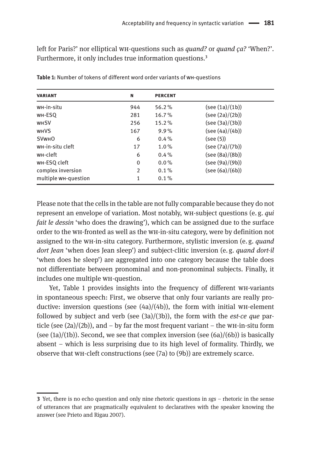left for Paris?' nor elliptical wh-questions such as *quand?* or *quand ça?* 'When?'. Furthermore, it only includes true information questions.<sup>3</sup>

| <b>VARIANT</b>       | N   | <b>PERCENT</b> |                 |
|----------------------|-----|----------------|-----------------|
| WH-in-situ           | 944 | 56.2%          | (see (1a)/(1b)) |
| WH-ESO               | 281 | 16.7%          | (see (2a)/(2b)) |
| <b>WHSV</b>          | 256 | 15.2%          | (see (3a)/(3b)) |
| <b>WHVS</b>          | 167 | 9.9%           | (see (4a)/(4b)) |
| <b>SVWHO</b>         | 6   | $0.4\%$        | (see (5))       |
| WH-in-situ cleft     | 17  | $1.0\%$        | (see (7a)/(7b)) |
| wн-cleft             | 6   | 0.4%           | (see (8a)/(8b)) |
| WH-ESQ cleft         | 0   | $0.0\%$        | (see (9a)/(9b)) |
| complex inversion    | 2   | $0.1\%$        | (see (6a)/(6b)) |
| multiple WH-question | 1   | 0.1%           |                 |

**Table 1:** Number of tokens of different word order variants of wh-questions

Please note that the cells in the table are not fully comparable because they do not represent an envelope of variation. Most notably, wh-subject questions (e. g. *qui fait le dessin* 'who does the drawing'), which can be assigned due to the surface order to the wh-fronted as well as the wh-in-situ category, were by definition not assigned to the wh-in-situ category. Furthermore, stylistic inversion (e. g. *quand dort Jean* 'when does Jean sleep') and subject-clitic inversion (e. g. *quand dort-il*  'when does he sleep') are aggregated into one category because the table does not differentiate between pronominal and non-pronominal subjects. Finally, it includes one multiple wh-question.

Yet, Table 1 provides insights into the frequency of different wh-variants in spontaneous speech: First, we observe that only four variants are really productive: inversion questions (see  $(4a)/(4b)$ ), the form with initial WH-element followed by subject and verb (see (3a)/(3b)), the form with the *est-ce que* particle (see  $(2a)/(2b)$ ), and – by far the most frequent variant – the WH-in-situ form (see  $(1a)/(1b)$ ). Second, we see that complex inversion (see  $(6a)/(6b)$ ) is basically absent – which is less surprising due to its high level of formality. Thirdly, we observe that wh-cleft constructions (see (7a) to (9b)) are extremely scarce.

**<sup>3</sup>** Yet, there is no echo question and only nine rhetoric questions in *sgs* – rhetoric in the sense of utterances that are pragmatically equivalent to declaratives with the speaker knowing the answer (see Prieto and Rigau 2007).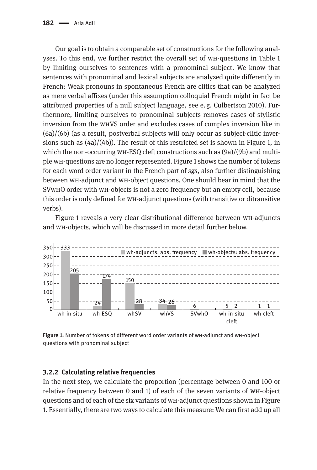Our goal is to obtain a comparable set of constructions for the following analyses. To this end, we further restrict the overall set of wh-questions in Table 1 by limiting ourselves to sentences with a pronominal subject. We know that sentences with pronominal and lexical subjects are analyzed quite differently in French: Weak pronouns in spontaneous French are clitics that can be analyzed as mere verbal affixes (under this assumption colloquial French might in fact be attributed properties of a null subject language, see e. g. Culbertson 2010). Furthermore, limiting ourselves to pronominal subjects removes cases of stylistic inversion from the whVS order and excludes cases of complex inversion like in (6a)/(6b) (as a result, postverbal subjects will only occur as subject-clitic inversions such as (4a)/(4b)). The result of this restricted set is shown in Figure 1, in which the non-occurring wh-ESQ cleft constructions such as (9a)/(9b) and multiple wh-questions are no longer represented. Figure 1 shows the number of tokens for each word order variant in the French part of *sgs*, also further distinguishing between wh-adjunct and wh-object questions. One should bear in mind that the SVwhO order with wh-objects is not a zero frequency but an empty cell, because this order is only defined for wh-adjunct questions (with transitive or ditransitive verbs).

Figure 1 reveals a very clear distributional difference between wh-adjuncts and wh-objects, which will be discussed in more detail further below.



**Figure 1:** Number of tokens of different word order variants of wh-adjunct and wh-object questions with pronominal subject

### **3.2.2 Calculating relative frequencies**

In the next step, we calculate the proportion (percentage between 0 and 100 or relative frequency between 0 and 1) of each of the seven variants of wh-object questions and of each of the six variants of wh-adjunct questions shown in Figure 1. Essentially, there are two ways to calculate this measure: We can first add up all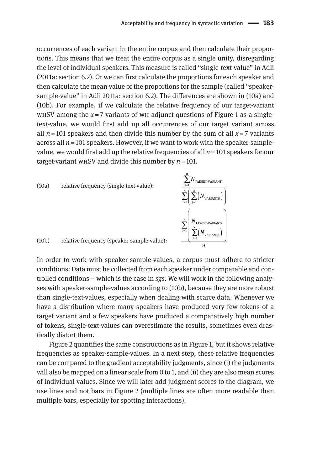occurrences of each variant in the entire corpus and then calculate their proportions. This means that we treat the entire corpus as a single unity, disregarding the level of individual speakers. This measure is called "single-text-value" in Adli (2011a: section 6.2). Or we can first calculate the proportions for each speaker and then calculate the mean value of the proportions for the sample (called "speakersample-value" in Adli 2011a: section 6.2). The differences are shown in (10a) and (10b). For example, if we calculate the relative frequency of our target-variant wh SV among the  $x = 7$  variants of w<sub>H</sub>-adjunct questions of Figure 1 as a singletext-value, we would first add up all occurrences of our target variant across all  $n = 101$  speakers and then divide this number by the sum of all  $x = 7$  variants across all *n*= 101 speakers. However, if we want to work with the speaker-samplevalue, we would first add up the relative frequencies of all *n*= 101 speakers for our target-variant whSV and divide this number by *n*= 101.





(10b) relative frequency (speaker-sample-value):

In order to work with speaker-sample-values, a corpus must adhere to stricter conditions: Data must be collected from each speaker under comparable and controlled conditions – which is the case in *sgs*. We will work in the following analyses with speaker-sample-values according to (10b), because they are more robust than single-text-values, especially when dealing with scarce data: Whenever we have a distribution where many speakers have produced very few tokens of a target variant and a few speakers have produced a comparatively high number of tokens, single-text-values can overestimate the results, sometimes even drastically distort them.

Figure 2 quantifies the same constructions as in Figure 1, but it shows relative frequencies as speaker-sample-values. In a next step, these relative frequencies can be compared to the gradient acceptability judgments, since (i) the judgments will also be mapped on a linear scale from 0 to 1, and (ii) they are also mean scores of individual values. Since we will later add judgment scores to the diagram, we use lines and not bars in Figure 2 (multiple lines are often more readable than multiple bars, especially for spotting interactions).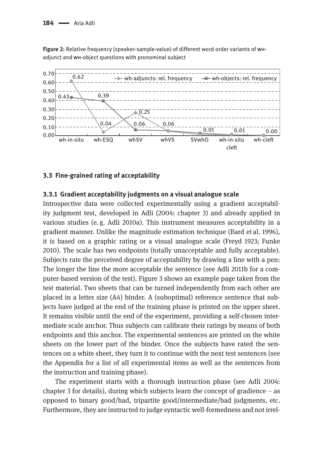**Figure 2:** Relative frequency (speaker-sample-value) of different word order variants of whadjunct and wh-object questions with pronominal subject



#### **3.3 Fine-grained rating of acceptability**

#### **3.3.1 Gradient acceptability judgments on a visual analogue scale**

Introspective data were collected experimentally using a gradient acceptability judgment test, developed in Adli (2004: chapter 3) and already applied in various studies (e. g. Adli 2010a). This instrument measures acceptability in a gradient manner. Unlike the magnitude estimation technique (Bard et al. 1996), it is based on a graphic rating or a visual analogue scale (Freyd 1923; Funke 2010). The scale has two endpoints (totally unacceptable and fully acceptable). Subjects rate the perceived degree of acceptability by drawing a line with a pen: The longer the line the more acceptable the sentence (see Adli 2011b for a computer-based version of the test). Figure 3 shows an example page taken from the test material. Two sheets that can be turned independently from each other are placed in a letter size (A4) binder. A (suboptimal) reference sentence that subjects have judged at the end of the training phase is printed on the upper sheet. It remains visible until the end of the experiment, providing a self-chosen intermediate scale anchor. Thus subjects can calibrate their ratings by means of both endpoints and this anchor. The experimental sentences are printed on the white sheets on the lower part of the binder. Once the subjects have rated the sentences on a white sheet, they turn it to continue with the next test sentences (see the Appendix for a list of all experimental items as well as the sentences from the instruction and training phase).

The experiment starts with a thorough instruction phase (see Adli 2004: chapter 3 for details), during which subjects learn the concept of gradience  $-$  as opposed to binary good/bad, tripartite good/intermediate/bad judgments, etc. Furthermore, they are instructed to judge syntactic well-formedness and not irrel-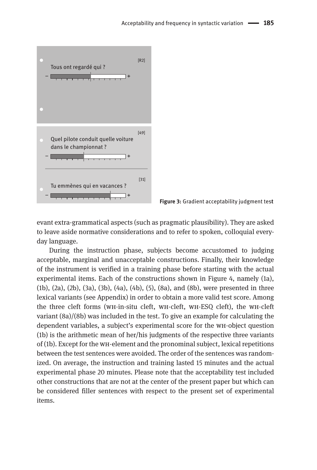

**Figure 3:** Gradient acceptability judgment tes**t**

evant extra-grammatical aspects (such as pragmatic plausibility). They are asked to leave aside normative considerations and to refer to spoken, colloquial everyday language.

During the instruction phase, subjects become accustomed to judging acceptable, marginal and unacceptable constructions. Finally, their knowledge of the instrument is verified in a training phase before starting with the actual experimental items. Each of the constructions shown in Figure 4, namely (1a), (1b), (2a), (2b), (3a), (3b), (4a), (4b), (5), (8a), and (8b), were presented in three lexical variants (see Appendix) in order to obtain a more valid test score. Among the three cleft forms (wh-in-situ cleft, wh-cleft, wh-ESQ cleft), the wh-cleft variant (8a)/(8b) was included in the test. To give an example for calculating the dependent variables, a subject's experimental score for the wh-object question (1b) is the arithmetic mean of her/his judgments of the respective three variants of (1b). Except for the wh-element and the pronominal subject, lexical repetitions between the test sentences were avoided. The order of the sentences was randomized. On average, the instruction and training lasted 15 minutes and the actual experimental phase 20 minutes. Please note that the acceptability test included other constructions that are not at the center of the present paper but which can be considered filler sentences with respect to the present set of experimental items.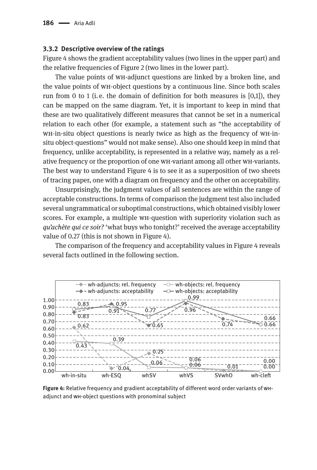#### **3.3.2 Descriptive overview of the ratings**

Figure 4 shows the gradient acceptability values (two lines in the upper part) and the relative frequencies of Figure 2 (two lines in the lower part).

The value points of wh-adjunct questions are linked by a broken line, and the value points of wh-object questions by a continuous line. Since both scales run from 0 to 1 (i.e. the domain of definition for both measures is  $[0,1]$ ), they can be mapped on the same diagram. Yet, it is important to keep in mind that these are two qualitatively different measures that cannot be set in a numerical relation to each other (for example, a statement such as "the acceptability of wh-in-situ object questions is nearly twice as high as the frequency of wh-insitu object-questions" would not make sense). Also one should keep in mind that frequency, unlike acceptability, is represented in a relative way, namely as a relative frequency or the proportion of one wh-variant among all other wh-variants. The best way to understand Figure 4 is to see it as a superposition of two sheets of tracing paper, one with a diagram on frequency and the other on acceptability.

Unsurprisingly, the judgment values of all sentences are within the range of acceptable constructions. In terms of comparison the judgment test also included several ungrammatical or suboptimal constructions, which obtained visibly lower scores. For example, a multiple wh-question with superiority violation such as *qu'achète qui ce soir?* 'what buys who tonight?' received the average acceptability value of 0.27 (this is not shown in Figure 4).

The comparison of the frequency and acceptability values in Figure 4 reveals several facts outlined in the following section.



**Figure 4:** Relative frequency and gradient acceptability of different word order variants of whadjunct and wh-object questions with pronominal subject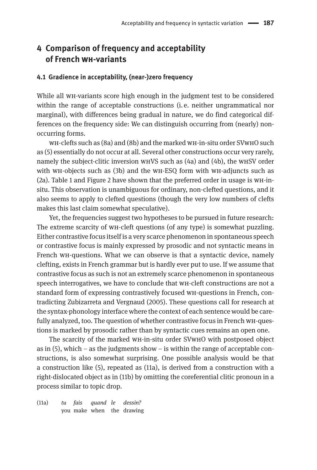# **4 Comparison of frequency and acceptability of French wh-variants**

#### **4.1 Gradience in acceptability, (near-)zero frequency**

While all wh-variants score high enough in the judgment test to be considered within the range of acceptable constructions (i.e. neither ungrammatical nor marginal), with differences being gradual in nature, we do find categorical differences on the frequency side: We can distinguish occurring from (nearly) nonoccurring forms.

wh-clefts such as (8a) and (8b) and the marked wh-in-situ order SVwhO such as (5) essentially do not occur at all. Several other constructions occur very rarely, namely the subject-clitic inversion whVS such as (4a) and (4b), the whSV order with wh-objects such as (3b) and the wh-ESQ form with wh-adjuncts such as (2a). Table 1 and Figure 2 have shown that the preferred order in usage is wh-insitu. This observation is unambiguous for ordinary, non-clefted questions, and it also seems to apply to clefted questions (though the very low numbers of clefts makes this last claim somewhat speculative).

Yet, the frequencies suggest two hypotheses to be pursued in future research: The extreme scarcity of wh-cleft questions (of any type) is somewhat puzzling. Either contrastive focus itself is a very scarce phenomenon in spontaneous speech or contrastive focus is mainly expressed by prosodic and not syntactic means in French wh-questions. What we can observe is that a syntactic device, namely clefting, exists in French grammar but is hardly ever put to use. If we assume that contrastive focus as such is not an extremely scarce phenomenon in spontaneous speech interrogatives, we have to conclude that wh-cleft constructions are not a standard form of expressing contrastively focused wh-questions in French, contradicting Zubizarreta and Vergnaud (2005). These questions call for research at the syntax-phonology interface where the context of each sentence would be carefully analyzed, too. The question of whether contrastive focus in French wh-questions is marked by prosodic rather than by syntactic cues remains an open one.

The scarcity of the marked wh-in-situ order SVwhO with postposed object as in  $(5)$ , which – as the judgments show – is within the range of acceptable constructions, is also somewhat surprising. One possible analysis would be that a construction like (5), repeated as (11a), is derived from a construction with a right-dislocated object as in (11b) by omitting the coreferential clitic pronoun in a process similar to topic drop.

(11a) *tu fais quand le dessin?* you make when the drawing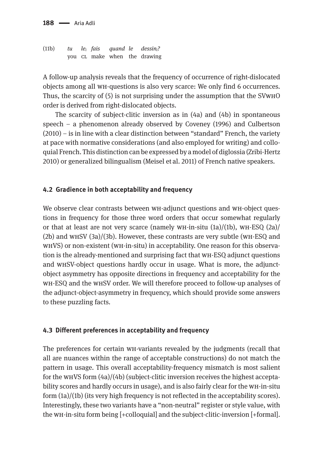(11b) *tu lei fais quand le dessini?* you CL make when the drawing

A follow-up analysis reveals that the frequency of occurrence of right-dislocated objects among all wh-questions is also very scarce: We only find 6 occurrences. Thus, the scarcity of (5) is not surprising under the assumption that the SVwhO order is derived from right-dislocated objects.

The scarcity of subject-clitic inversion as in (4a) and (4b) in spontaneous speech – a phenomenon already observed by Coveney (1996) and Culbertson (2010) – is in line with a clear distinction between "standard" French, the variety at pace with normative considerations (and also employed for writing) and colloquial French. This distinction can be expressed by a model of diglossia (Zribi-Hertz 2010) or generalized bilingualism (Meisel et al. 2011) of French native speakers.

#### **4.2 Gradience in both acceptability and frequency**

We observe clear contrasts between wh-adjunct questions and wh-object questions in frequency for those three word orders that occur somewhat regularly or that at least are not very scarce (namely  $WH-in-situ$  (1a)/(1b),  $WH-ESQ$  (2a)/  $(2b)$  and WHSV  $(3a)/(3b)$ . However, these contrasts are very subtle (WH-ESQ and whVS) or non-existent (wh-in-situ) in acceptability. One reason for this observation is the already-mentioned and surprising fact that wh-ESQ adjunct questions and whSV-object questions hardly occur in usage. What is more, the adjunctobject asymmetry has opposite directions in frequency and acceptability for the wh-ESQ and the whSV order. We will therefore proceed to follow-up analyses of the adjunct-object-asymmetry in frequency, which should provide some answers to these puzzling facts.

#### **4.3 Different preferences in acceptability and frequency**

The preferences for certain wh-variants revealed by the judgments (recall that all are nuances within the range of acceptable constructions) do not match the pattern in usage. This overall acceptability-frequency mismatch is most salient for the whVS form (4a)/(4b) (subject-clitic inversion receives the highest acceptability scores and hardly occurs in usage), and is also fairly clear for the wh-in-situ form (1a)/(1b) (its very high frequency is not reflected in the acceptability scores). Interestingly, these two variants have a "non-neutral" register or style value, with the wh-in-situ form being [+colloquial] and the subject-clitic-inversion [+formal].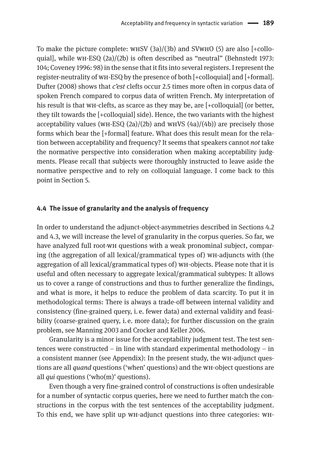To make the picture complete: whSV (3a)/(3b) and SVwhO (5) are also [+colloquial], while wh-ESQ (2a)/(2b) is often described as "neutral" (Behnstedt 1973: 104; Coveney 1996: 98) in the sense that it fits into several registers. I represent the register-neutrality of wh-ESQ by the presence of both [+colloquial] and [+formal]. Dufter (2008) shows that *c'est* clefts occur 2.5 times more often in corpus data of spoken French compared to corpus data of written French. My interpretation of his result is that wh-clefts, as scarce as they may be, are [+colloquial] (or better, they tilt towards the [+colloquial] side). Hence, the two variants with the highest acceptability values (wH-ESQ (2a)/(2b) and wHVS (4a)/(4b)) are precisely those forms which bear the [+formal] feature. What does this result mean for the relation between acceptability and frequency? It seems that speakers cannot *not* take the normative perspective into consideration when making acceptability judgments. Please recall that subjects were thoroughly instructed to leave aside the normative perspective and to rely on colloquial language. I come back to this point in Section 5.

#### **4.4 The issue of granularity and the analysis of frequency**

In order to understand the adjunct-object-asymmetries described in Sections 4.2 and 4.3, we will increase the level of granularity in the corpus queries. So far, we have analyzed full root-wh questions with a weak pronominal subject, comparing (the aggregation of all lexical/grammatical types of) wh-adjuncts with (the aggregation of all lexical/grammatical types of) wh-objects. Please note that it is useful and often necessary to aggregate lexical/grammatical subtypes: It allows us to cover a range of constructions and thus to further generalize the findings, and what is more, it helps to reduce the problem of data scarcity. To put it in methodological terms: There is always a trade-off between internal validity and consistency (fine-grained query, i.e. fewer data) and external validity and feasibility (coarse-grained query, i.e. more data); for further discussion on the grain problem, see Manning 2003 and Crocker and Keller 2006.

Granularity is a minor issue for the acceptability judgment test. The test sentences were constructed – in line with standard experimental methodology – in a consistent manner (see Appendix): In the present study, the wh-adjunct questions are all *quand* questions ('when' questions) and the wh-object questions are all *qui* questions ('who(m)' questions).

Even though a very fine-grained control of constructions is often undesirable for a number of syntactic corpus queries, here we need to further match the constructions in the corpus with the test sentences of the acceptability judgment. To this end, we have split up wh-adjunct questions into three categories: wh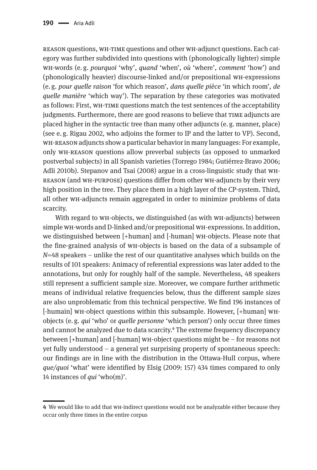reason questions, wh-time questions and other wh-adjunct questions. Each category was further subdivided into questions with (phonologically lighter) simple wh-words (e. g. *pourquoi* 'why', *quand* 'when', *où* 'where', *comment* 'how') and (phonologically heavier) discourse-linked and/or prepositional wh-expressions (e. g. *pour quelle raison* 'for which reason', *dans quelle pièce* 'in which room', *de quelle manière* 'which way'). The separation by these categories was motivated as follows: First, wh-time questions match the test sentences of the acceptability judgments. Furthermore, there are good reasons to believe that TIME adjuncts are placed higher in the syntactic tree than many other adjuncts (e. g. manner, place) (see e.g. Rigau 2002, who adjoins the former to IP and the latter to VP). Second, wh-reason adjuncts show a particular behavior in many languages: For example, only wh-reason questions allow preverbal subjects (as opposed to unmarked postverbal subjects) in all Spanish varieties (Torrego 1984; Gutiérrez-Bravo 2006; Adli 2010b). Stepanov and Tsai (2008) argue in a cross-linguistic study that whreason (and wh-purpose) questions differ from other wh-adjuncts by their very high position in the tree. They place them in a high layer of the CP-system. Third, all other wh-adjuncts remain aggregated in order to minimize problems of data scarcity.

With regard to wh-objects, we distinguished (as with wh-adjuncts) between simple wh-words and D-linked and/or prepositional wh-expressions. In addition, we distinguished between [+human] and [-human] wh-objects. Please note that the fine-grained analysis of wh-objects is based on the data of a subsample of *N*=48 speakers – unlike the rest of our quantitative analyses which builds on the results of 101 speakers: Animacy of referential expressions was later added to the annotations, but only for roughly half of the sample. Nevertheless, 48 speakers still represent a sufficient sample size. Moreover, we compare further arithmetic means of individual relative frequencies below, thus the different sample sizes are also unproblematic from this technical perspective. We find 196 instances of [-humain] wh-object questions within this subsample. However, [+human] whobjects (e. g. *qui* 'who' or *quelle personne* 'which person') only occur three times and cannot be analyzed due to data scarcity.<sup>4</sup> The extreme frequency discrepancy between [+human] and [-human] wh-object questions might be – for reasons not yet fully understood – a general yet surprising property of spontaneous speech: our findings are in line with the distribution in the Ottawa-Hull corpus, where *que/quoi* 'what' were identified by Elsig (2009: 157) 434 times compared to only 14 instances of *qui* 'who(m)'.

**<sup>4</sup>** We would like to add that wh-indirect questions would not be analyzable either because they occur only three times in the entire corpus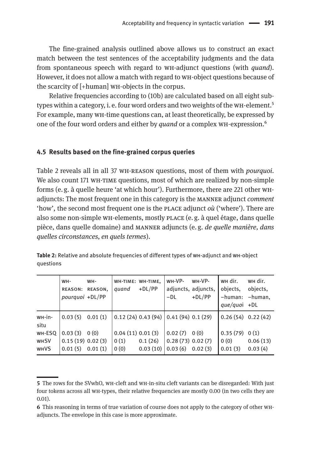The fine-grained analysis outlined above allows us to construct an exact match between the test sentences of the acceptability judgments and the data from spontaneous speech with regard to wh-adjunct questions (with *quand*). However, it does not allow a match with regard to wh-object questions because of the scarcity of [+human] wh-objects in the corpus.

Relative frequencies according to (10b) are calculated based on all eight subtypes within a category, i.e. four word orders and two weights of the WH-element.<sup>5</sup> For example, many wh-time questions can, at least theoretically, be expressed by one of the four word orders and either by *quand* or a complex wh-expression.6

#### **4.5 Results based on the fine-grained corpus queries**

Table 2 reveals all in all 37 wh-reason questions, most of them with *pourquoi*. We also count 171 WH-TIME questions, most of which are realized by non-simple forms (e. g. à quelle heure 'at which hour'). Furthermore, there are 221 other whadjuncts: The most frequent one in this category is the manner adjunct *comment* 'how', the second most frequent one is the place adjunct *où* ('where'). There are also some non-simple wh-elements, mostly place (e. g. à quel étage, dans quelle pièce, dans quelle domaine) and manner adjuncts (e. g. *de quelle manière, dans quelles circonstances, en quels termes*).

|                | WH-<br><b>REASON:</b><br>pourquoi +DL/PP | WH-<br>REASON, | WH-TIME: WH-TIME,<br>quand | $+DL/PP$                        | WH-VP-<br>$-DL$     | WH-VP-<br>adjuncts, adjuncts,<br>$+DL/PP$ | WH dir.<br>objects,<br>-human: -human,<br>$que/quoi + DL$ | wн dir.<br>objects, |
|----------------|------------------------------------------|----------------|----------------------------|---------------------------------|---------------------|-------------------------------------------|-----------------------------------------------------------|---------------------|
| WH-in-<br>situ | $0.03(5)$ $0.01(1)$                      |                |                            | 0.12(24)0.43(94)0.41(94)0.1(29) |                     |                                           | $0.26(54)$ $0.22(42)$                                     |                     |
| WH-ESQ         | 0.03(3) 0(0)                             |                | 0.04(11)0.01(3)            |                                 | $0.02(7)$ 0(0)      |                                           | $0.35(79)$ 0(1)                                           |                     |
| <b>WHSV</b>    | 0.15(19) 0.02(3)                         |                | 0(1)                       | 0.1(26)                         | 0.28(73)0.02(7)     |                                           | 0(0)                                                      | 0.06(13)            |
| <b>WHVS</b>    | $0.01(5)$ $0.01(1)$                      |                | 0(0)                       | 0.03(10)                        | $0.03(6)$ $0.02(3)$ |                                           | 0.01(3)                                                   | 0.03(4)             |

**Table 2:** Relative and absolute frequencies of different types of wh-adjunct and wh-object questions

**<sup>5</sup>** The rows for the SVwhO, wh-cleft and wh-in-situ cleft variants can be disregarded: With just four tokens across all wh-types, their relative frequencies are mostly 0.00 (in two cells they are 0.01).

**<sup>6</sup>** This reasoning in terms of true variation of course does not apply to the category of other whadjuncts. The envelope in this case is more approximate.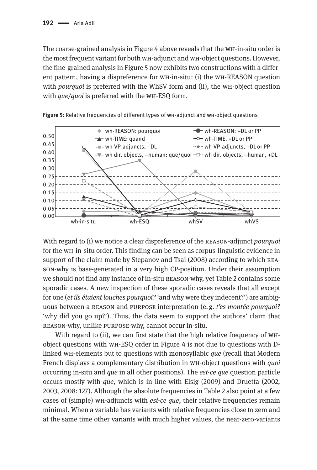The coarse-grained analysis in Figure 4 above reveals that the wh-in-situ order is the most frequent variant for both wh-adjunct and wh-object questions. However, the fine-grained analysis in Figure 5 now exhibits two constructions with a different pattern, having a dispreference for wh-in-situ: (i) the wh-REASON question with *pourquoi* is preferred with the WhSV form and (ii), the WH-object question with *que/quoi* is preferred with the wh-ESQ form.



**Figure 5:** Relative frequencies of different types of wh-adjunct and wh-object questions

With regard to (i) we notice a clear dispreference of the reason-adjunct *pourquoi* for the wh-in-situ order. This finding can be seen as corpus-linguistic evidence in support of the claim made by Stepanov and Tsai (2008) according to which REAson-why is base-generated in a very high CP-position. Under their assumption we should not find any instance of in-situ REASON-why, yet Table 2 contains some sporadic cases. A new inspection of these sporadic cases reveals that all except for one (*et ils étaient louches pourquoi?* 'and why were they indecent?') are ambiguous between a reason and purpose interpretation (e. g. *t'es montée pourquoi?* 'why did you go up?'). Thus, the data seem to support the authors' claim that reason-why, unlike purpose-why, cannot occur in-situ.

With regard to (ii), we can first state that the high relative frequency of WHobject questions with wh-ESQ order in Figure 4 is not due to questions with Dlinked wh-elements but to questions with monosyllabic *que* (recall that Modern French displays a complementary distribution in wh-object questions with *quoi* occurring in-situ and *que* in all other positions). The *est-ce que* question particle occurs mostly with *que*, which is in line with Elsig (2009) and Druetta (2002, 2003, 2008: 127). Although the absolute frequencies in Table 2 also point at a few cases of (simple) wh-adjuncts with *est-ce que*, their relative frequencies remain minimal. When a variable has variants with relative frequencies close to zero and at the same time other variants with much higher values, the near-zero-variants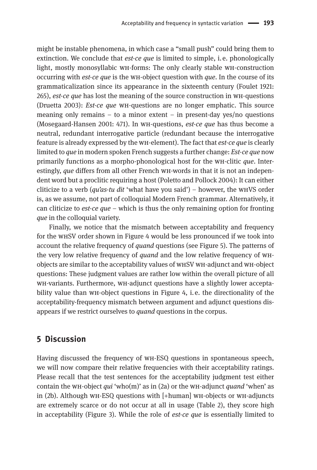might be instable phenomena, in which case a "small push" could bring them to extinction. We conclude that *est-ce que* is limited to simple, i.e. phonologically light, mostly monosyllabic wh-forms: The only clearly stable wh-construction occurring with *est-ce que* is the wh-object question with *que*. In the course of its grammaticalization since its appearance in the sixteenth century (Foulet 1921: 265), *est-ce que* has lost the meaning of the source construction in wh-questions (Druetta 2003): *Est-ce que* wh-questions are no longer emphatic. This source meaning only remains – to a minor extent – in present-day yes/no questions (Mosegaard-Hansen 2001: 471). In wh-questions, *est-ce que* has thus become a neutral, redundant interrogative particle (redundant because the interrogative feature is already expressed by the wh-element). The fact that *est-ce que* is clearly limited to *que* in modern spoken French suggests a further change: *Est-ce que* now primarily functions as a morpho-phonological host for the wh*-*clitic *que*. Interestingly, *que* differs from all other French wh-words in that it is not an independent word but a proclitic requiring a host (Poletto and Pollock 2004): It can either cliticize to a verb (*qu'as-tu dit* 'what have you said') – however, the whVS order is, as we assume, not part of colloquial Modern French grammar. Alternatively, it can cliticize to *est-ce que –* which is thus the only remaining option for fronting *que* in the colloquial variety.

Finally, we notice that the mismatch between acceptability and frequency for the whSV order shown in Figure 4 would be less pronounced if we took into account the relative frequency of *quand* questions (see Figure 5). The patterns of the very low relative frequency of *quand* and the low relative frequency of whobjects are similar to the acceptability values of whSV wh-adjunct and wh-object questions: These judgment values are rather low within the overall picture of all wh-variants. Furthermore, wh-adjunct questions have a slightly lower acceptability value than WH-object questions in Figure 4, i.e. the directionality of the acceptability-frequency mismatch between argument and adjunct questions disappears if we restrict ourselves to *quand* questions in the corpus.

### **5 Discussion**

Having discussed the frequency of wh-ESQ questions in spontaneous speech, we will now compare their relative frequencies with their acceptability ratings. Please recall that the test sentences for the acceptability judgment test either contain the wh-object *qui* 'who(m)' as in (2a) or the wh-adjunct *quand* 'when' as in (2b). Although wh-ESQ questions with [+human] wh-objects or wh-adjuncts are extremely scarce or do not occur at all in usage (Table 2), they score high in acceptability (Figure 3). While the role of *est-ce que* is essentially limited to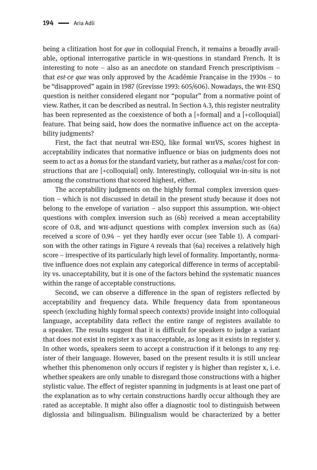being a clitization host for *que* in colloquial French, it remains a broadly available, optional interrogative particle in wh-questions in standard French. It is interesting to note – also as an anecdote on standard French prescriptivism – that *est-ce que* was only approved by the Académie Française in the 1930s – to be "disapproved" again in 1987 (Grevisse 1993: 605/606). Nowadays, the wh-ESQ question is neither considered elegant nor "popular" from a normative point of view. Rather, it can be described as neutral. In Section 4.3, this register neutrality has been represented as the coexistence of both a [+formal] and a [+colloquial] feature. That being said, how does the normative influence act on the acceptability judgments?

First, the fact that neutral wh-ESQ, like formal whVS, scores highest in acceptability indicates that normative influence or bias on judgments does not seem to act as a *bonus* for the standard variety, but rather as a *malus*/cost for constructions that are [+colloquial] only. Interestingly, colloquial wh-in-situ is not among the constructions that scored highest, either.

The acceptability judgments on the highly formal complex inversion question – which is not discussed in detail in the present study because it does not belong to the envelope of variation – also support this assumption. WH-object questions with complex inversion such as (6b) received a mean acceptability score of 0.8, and wh-adjunct questions with complex inversion such as (6a) received a score of 0.94 – yet they hardly ever occur (see Table 1). A comparison with the other ratings in Figure 4 reveals that (6a) receives a relatively high score – irrespective of its particularly high level of formality. Importantly, normative influence does not explain any categorical difference in terms of acceptability vs. unacceptability, but it is one of the factors behind the systematic nuances within the range of acceptable constructions.

Second, we can observe a difference in the span of registers reflected by acceptability and frequency data. While frequency data from spontaneous speech (excluding highly formal speech contexts) provide insight into colloquial language, acceptability data reflect the entire range of registers available to a speaker. The results suggest that it is difficult for speakers to judge a variant that does not exist in register x as unacceptable, as long as it exists in register y. In other words, speakers seem to accept a construction if it belongs to any register of their language. However, based on the present results it is still unclear whether this phenomenon only occurs if register  $y$  is higher than register  $x$ , i.e. whether speakers are only unable to disregard those constructions with a higher stylistic value. The effect of register spanning in judgments is at least one part of the explanation as to why certain constructions hardly occur although they are rated as acceptable. It might also offer a diagnostic tool to distinguish between diglossia and bilingualism. Bilingualism would be characterized by a better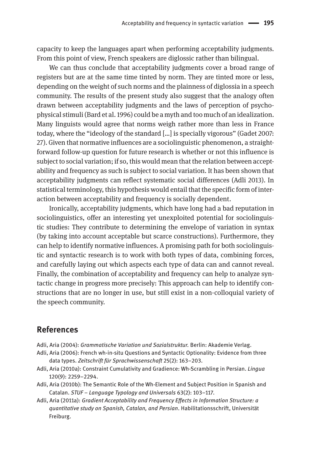capacity to keep the languages apart when performing acceptability judgments. From this point of view, French speakers are diglossic rather than bilingual.

We can thus conclude that acceptability judgments cover a broad range of registers but are at the same time tinted by norm. They are tinted more or less, depending on the weight of such norms and the plainness of diglossia in a speech community. The results of the present study also suggest that the analogy often drawn between acceptability judgments and the laws of perception of psychophysical stimuli (Bard et al. 1996) could be a myth and too much of an idealization. Many linguists would agree that norms weigh rather more than less in France today, where the "ideology of the standard […] is specially vigorous" (Gadet 2007: 27). Given that normative influences are a sociolinguistic phenomenon, a straightforward follow-up question for future research is whether or not this influence is subject to social variation; if so, this would mean that the relation between acceptability and frequency as such is subject to social variation. It has been shown that acceptability judgments can reflect systematic social differences (Adli 2013). In statistical terminology, this hypothesis would entail that the specific form of interaction between acceptability and frequency is socially dependent.

Ironically, acceptability judgments, which have long had a bad reputation in sociolinguistics, offer an interesting yet unexploited potential for sociolinguistic studies: They contribute to determining the envelope of variation in syntax (by taking into account acceptable but scarce constructions). Furthermore, they can help to identify normative influences. A promising path for both sociolinguistic and syntactic research is to work with both types of data, combining forces, and carefully laying out which aspects each type of data can and cannot reveal. Finally, the combination of acceptability and frequency can help to analyze syntactic change in progress more precisely: This approach can help to identify constructions that are no longer in use, but still exist in a non-colloquial variety of the speech community.

### **References**

Adli, Aria (2004): *Grammatische Variation und Sozialstruktur.* Berlin: Akademie Verlag.

- Adli, Aria (2006): French wh-in-situ Questions and Syntactic Optionality: Evidence from three data types. *Zeitschrift für Sprachwissenschaft* 25(2): 163–203.
- Adli, Aria (2010a): Constraint Cumulativity and Gradience: Wh-Scrambling in Persian. *Lingua* 120(9): 2259–2294.
- Adli, Aria (2010b): The Semantic Role of the Wh-Element and Subject Position in Spanish and Catalan. *STUF – Language Typology and Universals* 63(2): 103–117.
- Adli, Aria (2011a): *Gradient Acceptability and Frequency Effects in Information Structure: a quantitative study on Spanish, Catalan, and Persian*. Habilitationsschrift, Universität Freiburg.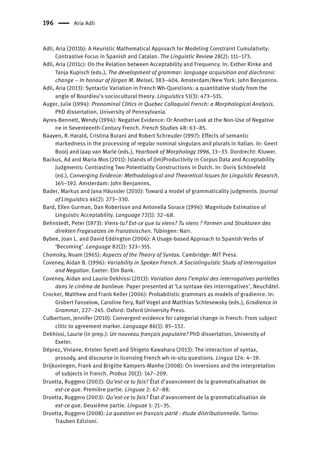- Adli, Aria (2011b): A Heuristic Mathematical Approach for Modeling Constraint Cumulativity: Contrastive Focus in Spanish and Catalan. *The Linguistic Review* 28(2): 111–173.
- Adli, Aria (2011c): On the Relation between Acceptability and Frequency. In: Esther Rinke and Tanja Kupisch (eds.), *The development of grammar: language acquisition and diachronic change – In honour of Jürgen M. Meisel*, 383–404*.* Amsterdam/New York: John Benjamins.
- Adli, Aria (2013): Syntactic Variation in French Wh-Questions: a quantitative study from the angle of Bourdieu's sociocultural theory. *Linguistics* 51(3): 473–515.
- Auger, Julie (1994): *Pronominal Clitics in Quebec Colloquial French: a Morphological Analysis*. PhD dissertation, University of Pennsylvania.
- Ayres-Bennett, Wendy (1994): Negative Evidence: Or Another Look at the Non-Use of Negative ne in Seventeenth-Century French. *French Studies* 48: 63–85.
- Baayen, R. Harald, Cristina Burani and Robert Schreuder (1997): Effects of semantic markedness in the processing of regular nominal singulars and plurals in Italian. In: Geert Booij and Jaap van Marle (eds.), *Yearbook of Morphology 1996*, 13–33*.* Dordrecht: Kluwer.
- Backus, Ad and Maria Mos (2011): Islands of (Im)Productivity in Corpus Data and Acceptability Judgments: Contrasting Two Potentiality Constructions in Dutch. In: Doris Schönefeld (ed.), *Converging Evidence: Methodological and Theoretical Issues for Linguistic Research*, 165–192*.* Amsterdam: John Benjamins.
- Bader, Markus and Jana Häussler (2010): Toward a model of grammaticality judgments. *Journal of Linguistics* 46(2): 273–330.
- Bard, Ellen Gurman, Dan Robertson and Antonella Sorace (1996): Magnitude Estimation of Linguistic Acceptability. *Language* 72(1): 32–68.
- Behnstedt, Peter (1973): *Viens-tu? Est-ce que tu viens? Tu viens ? Formen und Strukturen des direkten Fragesatzes im Französischen.* Tübingen: Narr.
- Bybee, Joan L. and David Eddington (2006): A Usage-based Approach to Spanish Verbs of 'Becoming'. *Language* 82(2): 323–355.
- Chomsky, Noam (1965): *Aspects of the Theory of Syntax.* Cambridge: MIT Press.
- Coveney, Aidan B. (1996): *Variability in Spoken French. A Sociolinguistic Study of Interrogation and Negation.* Exeter: Elm Bank.
- Coveney, Aidan and Laurie Dekhissi (2013): *Variation dans l'emploi des interrogatives partielles dans le cinéma de banlieue.* Paper presented at 'La syntaxe des interrogatives', Neuchâtel.
- Crocker, Matthew and Frank Keller (2006): Probabilistic grammars as models of gradience. In: Gisbert Fanselow, Caroline Fery, Ralf Vogel and Matthias Schlesewsky (eds.), *Gradience in Grammar*, 227–245*.* Oxford: Oxford University Press.
- Culbertson, Jennifer (2010): Convergent evidence for categorial change in French: From subject clitic to agreement marker. *Language* 86(1): 85–132.
- Dekhissi, Laurie (in prep.): *Un nouveau français populaire?* PhD dissertation, University of Exeter.
- Déprez, Viviane, Kristen Syrett and Shigeto Kawahara (2013): The interaction of syntax, prosody, and discourse in licensing French wh-in-situ questions. *Lingua* 124: 4–19.
- Drijkoningen, Frank and Brigitte Kampers-Manhe (2008): On inversions and the interpretation of subjects in French. *Probus* 20(2): 147–209.
- Druetta, Ruggero (2002): *Qu'est-ce tu fais*? État d'avancement de la grammaticalisation de *est-ce que*. Première partie. *Linguae* 2: 67–88.
- Druetta, Ruggero (2003): *Qu'est-ce tu fais*? État d'avancement de la grammaticalisation de *est-ce que*. Deuxième partie. *Linguae* 1: 21–35.
- Druetta, Ruggero (2008): *La question en français parlé : étude distributionnelle.* Torino: Trauben Edizioni.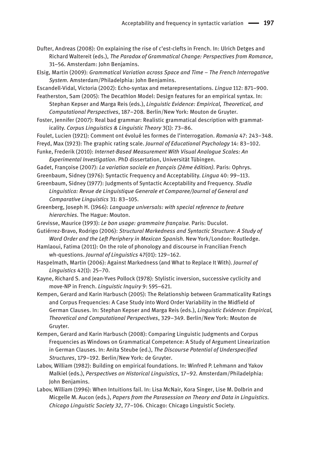Dufter, Andreas (2008): On explaining the rise of c'est-clefts in French. In: Ulrich Detges and Richard Waltereit (eds.), *The Paradox of Grammatical Change: Perspectives from Romance*, 31–56*.* Amsterdam: John Benjamins.

Elsig, Martin (2009): *Grammatical Variation across Space and Time – The French Interrogative System.* Amsterdam/Philadelphia: John Benjamins.

Escandell-Vidal, Victoria (2002): Echo-syntax and metarepresentations. *Lingua* 112: 871–900.

Featherston, Sam (2005): The Decathlon Model: Design features for an empirical syntax. In: Stephan Kepser and Marga Reis (eds.), *Linguistic Evidence: Empirical, Theoretical, and Computational Perspectives*, 187–208*.* Berlin/New York: Mouton de Gruyter.

Foster, Jennifer (2007): Real bad grammar: Realistic grammatical description with grammaticality. *Corpus Linguistics & Linguistic Theory* 3(1): 73–86.

Foulet, Lucien (1921): Comment ont évolué les formes de l'interrogation. *Romania* 47: 243–348. Freyd, Max (1923): The graphic rating scale. *Journal of Educational Psychology* 14: 83–102.

Funke, Frederik (2010): *Internet-Based Measurement With Visual Analogue Scales: An Experimental Investigation*. PhD dissertation, Universität Tübingen.

Gadet, Françoise (2007): *La variation sociale en français (2ème édition).* Paris: Ophrys. Greenbaum, Sidney (1976): Syntactic Frequency and Acceptability. *Lingua* 40: 99–113.

Greenbaum, Sidney (1977): Judgments of Syntactic Acceptability and Frequency. *Studia Linguistica: Revue de Linguistique Generale et Comparee/Journal of General and Comparative Linguistics* 31: 83–105.

Greenberg, Joseph H. (1966): *Language universals: with special reference to feature hierarchies.* The Hague: Mouton.

Grevisse, Maurice (1993): *Le bon usage: grammaire française.* Paris: Duculot.

Gutiérrez-Bravo, Rodrigo (2006): *Structural Markedness and Syntactic Structure: A Study of Word Order and the Left Periphery in Mexican Spanish.* New York/London: Routledge.

Hamlaoui, Fatima (2011): On the role of phonology and discourse in Francilian French wh-questions. *Journal of Linguistics* 47(01): 129–162.

Haspelmath, Martin (2006): Against Markedness (and What to Replace It With). *Journal of Linguistics* 42(1): 25–70.

Kayne, Richard S. and Jean-Yves Pollock (1978): Stylistic inversion, successive cyclicity and move-NP in French. *Linguistic Inquiry* 9: 595–621.

Kempen, Gerard and Karin Harbusch (2005): The Relationship between Grammaticality Ratings and Corpus Frequencies: A Case Study into Word Order Variability in the Midfield of German Clauses. In: Stephan Kepser and Marga Reis (eds.), *Linguistic Evidence: Empirical, Theoretical and Computational Perspectives*, 329–349*.* Berlin/New York: Mouton de Gruyter.

Kempen, Gerard and Karin Harbusch (2008): Comparing Linguistic Judgments and Corpus Frequencies as Windows on Grammatical Competence: A Study of Argument Linearization in German Clauses. In: Anita Steube (ed.), *The Discourse Potential of Underspecified Structures*, 179–192*.* Berlin/New York: de Gruyter.

Labov, William (1982): Building on empirical foundations. In: Winfred P. Lehmann and Yakov Malkiel (eds.), *Perspectives on Historical Linguistics*, 17–92*.* Amsterdam/Philadelphia: John Benjamins.

Labov, William (1996): When Intuitions fail. In: Lisa McNair, Kora Singer, Lise M. Dolbrin and Micgelle M. Aucon (eds.), *Papers from the Parasession on Theory and Data in Linguistics. Chicago Linguistic Society 32*, 77–106*.* Chicago: Chicago Linguistic Society.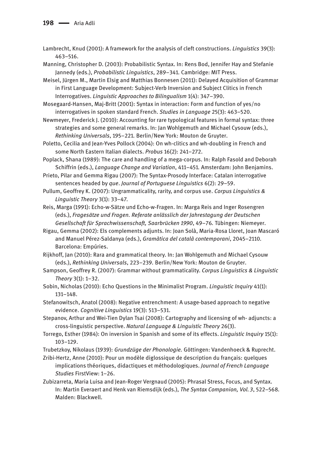- Lambrecht, Knud (2001): A framework for the analysis of cleft constructions. *Linguistics* 39(3): 463–516.
- Manning, Christopher D. (2003): Probabilistic Syntax. In: Rens Bod, Jennifer Hay and Stefanie Jannedy (eds.), *Probabilistic Linguistics*, 289–341*.* Cambridge: MIT Press.

Meisel, Jürgen M., Martin Elsig and Matthias Bonnesen (2011): Delayed Acquisition of Grammar in First Language Development: Subject-Verb Inversion and Subject Clitics in French Interrogatives. *Linguistic Approaches to Bilingualism* 1(4): 347–390.

Mosegaard-Hansen, Maj-Britt (2001): Syntax in interaction: Form and function of yes/no interrogatives in spoken standard French. *Studies in Language* 25(3): 463–520.

Newmeyer, Frederick J. (2010): Accounting for rare typological features in formal syntax: three strategies and some general remarks. In: Jan Wohlgemuth and Michael Cysouw (eds.), *Rethinking Universals*, 195–221*.* Berlin/New York: Mouton de Gruyter.

Poletto, Cecilia and Jean-Yves Pollock (2004): On wh-clitics and wh-doubling in French and some North Eastern Italian dialects. *Probus* 16(2): 241–272.

Poplack, Shana (1989): The care and handling of a mega-corpus. In: Ralph Fasold and Deborah Schiffrin (eds.), *Language Change and Variation*, 411–451*.* Amsterdam: John Benjamins.

Prieto, Pilar and Gemma Rigau (2007): The Syntax-Prosody Interface: Catalan interrogative sentences headed by *que*. *Journal of Portuguese Linguistics* 6(2): 29–59.

Pullum, Geoffrey K. (2007): Ungrammaticality, rarity, and corpus use. *Corpus Linguistics & Linguistic Theory* 3(1): 33–47.

Reis, Marga (1991): Echo-w-Sätze und Echo-w-Fragen. In: Marga Reis and Inger Rosengren (eds.), *Fragesätze und Fragen. Referate anlässlich der Jahrestagung der Deutschen Gesellschaft für Sprachwissenschaft, Saarbrücken 1990*, 49–76*.* Tübingen: Niemeyer.

Rigau, Gemma (2002): Els complements adjunts. In: Joan Solà, Maria-Rosa Lloret, Joan Mascaró and Manuel Pérez-Saldanya (eds.), *Gramàtica del català contemporani*, 2045–2110*.* Barcelona: Empúries.

Rijkhoff, Jan (2010): Rara and grammatical theory. In: Jan Wohlgemuth and Michael Cysouw (eds.), *Rethinking Universals*, 223–239*.* Berlin/New York: Mouton de Gruyter.

Sampson, Geoffrey R. (2007): Grammar without grammaticality. *Corpus Linguistics & Linguistic Theory* 3(1): 1–32.

- Sobin, Nicholas (2010): Echo Questions in the Minimalist Program. *Linguistic Inquiry* 41(1): 131–148.
- Stefanowitsch, Anatol (2008): Negative entrenchment: A usage-based approach to negative evidence. *Cognitive Linguistics* 19(3): 513–531.
- Stepanov, Arthur and Wei-Tien Dylan Tsai (2008): Cartography and licensing of wh- adjuncts: a cross-linguistic perspective. *Natural Language & Linguistic Theory* 26(3).
- Torrego, Esther (1984): On inversion in Spanish and some of its effects. *Linguistic Inquiry* 15(1): 103–129.

Trubetzkoy, Nikolaus (1939): *Grundzüge der Phonologie.* Göttingen: Vandenhoeck & Ruprecht.

Zribi-Hertz, Anne (2010): Pour un modèle diglossique de description du français: quelques implications théoriques, didactiques et méthodologiques. *Journal of French Language Studies* FirstView: 1–26.

Zubizarreta, Maria Luisa and Jean-Roger Vergnaud (2005): Phrasal Stress, Focus, and Syntax. In: Martin Everaert and Henk van Riemsdijk (eds.), *The Syntax Companion, Vol. 3*, 522–568*.* Malden: Blackwell.